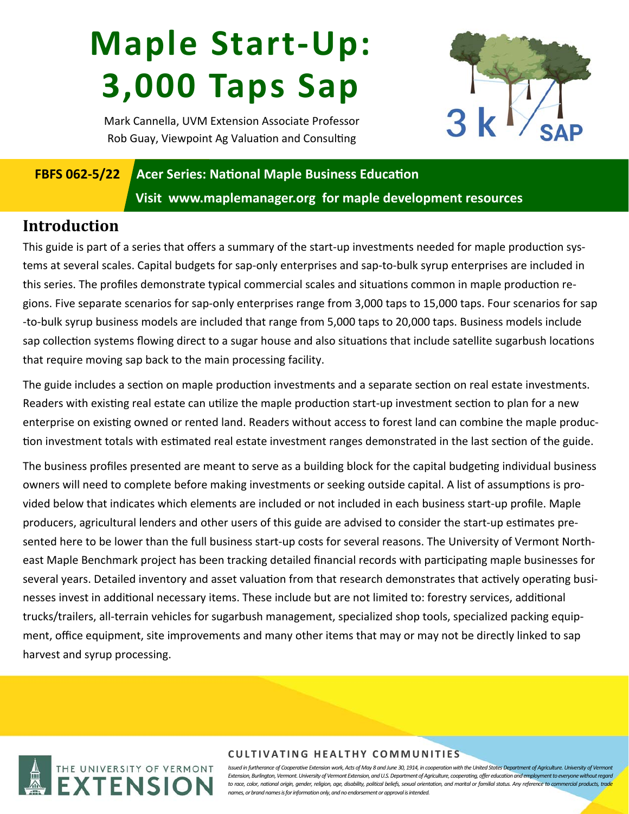# **Maple Start‐Up: 3,000 Taps Sap**



Mark Cannella, UVM Extension Associate Professor Rob Guay, Viewpoint Ag Valuation and Consulting

## **FBFS 062-5/22 Acer Series: National Maple Business Education Visit www.maplemanager.org for maple development resources**

#### **Introduction**

This guide is part of a series that offers a summary of the start-up investments needed for maple production systems at several scales. Capital budgets for sap‐only enterprises and sap‐to‐bulk syrup enterprises are included in this series. The profiles demonstrate typical commercial scales and situations common in maple production regions. Five separate scenarios for sap‐only enterprises range from 3,000 taps to 15,000 taps. Four scenarios for sap ‐to‐bulk syrup business models are included that range from 5,000 taps to 20,000 taps. Business models include sap collection systems flowing direct to a sugar house and also situations that include satellite sugarbush locations that require moving sap back to the main processing facility.

The guide includes a section on maple production investments and a separate section on real estate investments. Readers with existing real estate can utilize the maple production start-up investment section to plan for a new enterprise on existing owned or rented land. Readers without access to forest land can combine the maple production investment totals with estimated real estate investment ranges demonstrated in the last section of the guide.

The business profiles presented are meant to serve as a building block for the capital budgeting individual business owners will need to complete before making investments or seeking outside capital. A list of assumptions is provided below that indicates which elements are included or not included in each business start‐up profile. Maple producers, agricultural lenders and other users of this guide are advised to consider the start-up estimates presented here to be lower than the full business start-up costs for several reasons. The University of Vermont Northeast Maple Benchmark project has been tracking detailed financial records with participating maple businesses for several years. Detailed inventory and asset valuation from that research demonstrates that actively operating businesses invest in additional necessary items. These include but are not limited to: forestry services, additional trucks/trailers, all‐terrain vehicles for sugarbush management, specialized shop tools, specialized packing equip‐ ment, office equipment, site improvements and many other items that may or may not be directly linked to sap harvest and syrup processing.



#### **CULTIVATING HEALTHY COMMUNITIES**

Issued in furtherance of Cooperative Extension work, Acts of May 8 and June 30, 1914, in cooperation with the United States Department of Agriculture. University of Vermont *Extension, Burlington, Vermont. University of Vermont Extension, and U.S. Department of Agriculture, cooperating, offer education and employment to everyone without regard to race, color, national origin, gender, religion, age, disability, political beliefs, sexual orientation, and marital or familial status. Any reference to commercial products, trade names, or brand names is for information only, and no endorsement or approval is intended.*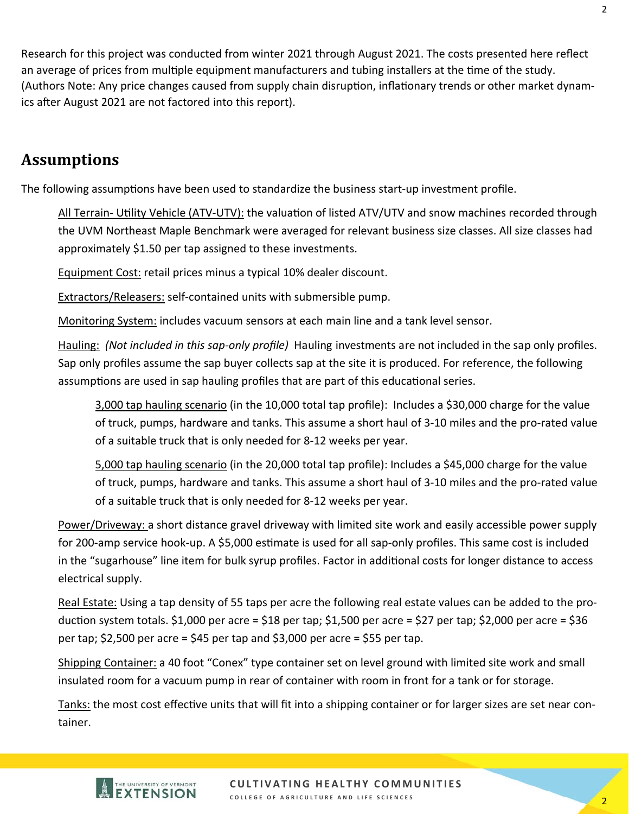Research for this project was conducted from winter 2021 through August 2021. The costs presented here reflect an average of prices from multiple equipment manufacturers and tubing installers at the time of the study. (Authors Note: Any price changes caused from supply chain disruption, inflationary trends or other market dynamics after August 2021 are not factored into this report).

#### **Assumptions**

The following assumptions have been used to standardize the business start-up investment profile.

All Terrain- Utility Vehicle (ATV-UTV): the valuation of listed ATV/UTV and snow machines recorded through the UVM Northeast Maple Benchmark were averaged for relevant business size classes. All size classes had approximately \$1.50 per tap assigned to these investments.

Equipment Cost: retail prices minus a typical 10% dealer discount.

Extractors/Releasers: self‐contained units with submersible pump.

Monitoring System: includes vacuum sensors at each main line and a tank level sensor.

Hauling: *(Not included in this sap‐only profile)* Hauling investments are not included in the sap only profiles. Sap only profiles assume the sap buyer collects sap at the site it is produced. For reference, the following assumptions are used in sap hauling profiles that are part of this educational series.

3,000 tap hauling scenario (in the 10,000 total tap profile): Includes a \$30,000 charge for the value of truck, pumps, hardware and tanks. This assume a short haul of 3‐10 miles and the pro‐rated value of a suitable truck that is only needed for 8‐12 weeks per year.

5,000 tap hauling scenario (in the 20,000 total tap profile): Includes a \$45,000 charge for the value of truck, pumps, hardware and tanks. This assume a short haul of 3‐10 miles and the pro‐rated value of a suitable truck that is only needed for 8‐12 weeks per year.

Power/Driveway: a short distance gravel driveway with limited site work and easily accessible power supply for 200-amp service hook-up. A \$5,000 estimate is used for all sap-only profiles. This same cost is included in the "sugarhouse" line item for bulk syrup profiles. Factor in additional costs for longer distance to access electrical supply.

Real Estate: Using a tap density of 55 taps per acre the following real estate values can be added to the production system totals. \$1,000 per acre = \$18 per tap; \$1,500 per acre = \$27 per tap; \$2,000 per acre = \$36 per tap;  $$2,500$  per acre =  $$45$  per tap and  $$3,000$  per acre =  $$55$  per tap.

Shipping Container: a 40 foot "Conex" type container set on level ground with limited site work and small insulated room for a vacuum pump in rear of container with room in front for a tank or for storage.

Tanks: the most cost effective units that will fit into a shipping container or for larger sizes are set near container.



**CULTIVATING HEALTHY COMMUNITIES COLLEGE OF AGRICULTURE AND LIFE SCIENCES**  2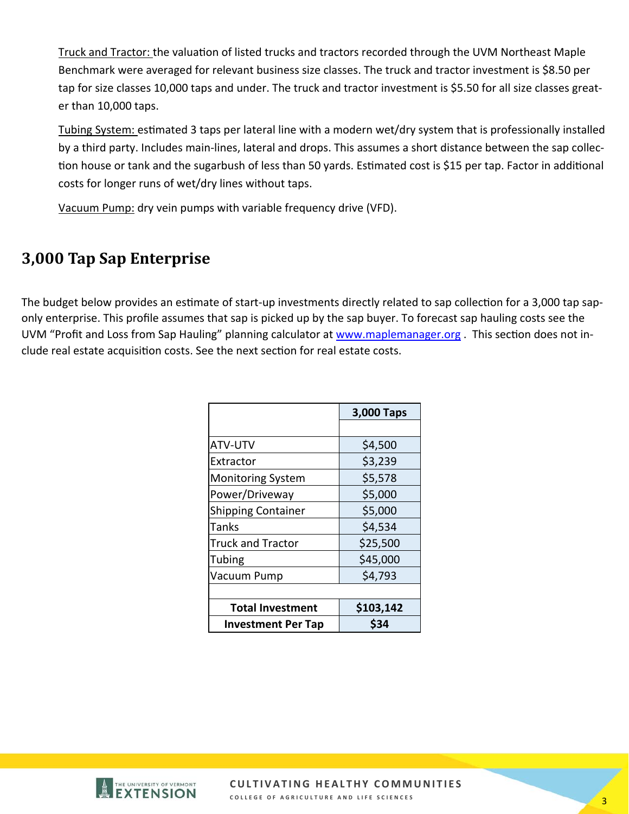Truck and Tractor: the valuation of listed trucks and tractors recorded through the UVM Northeast Maple Benchmark were averaged for relevant business size classes. The truck and tractor investment is \$8.50 per tap for size classes 10,000 taps and under. The truck and tractor investment is \$5.50 for all size classes greater than 10,000 taps.

Tubing System: estimated 3 taps per lateral line with a modern wet/dry system that is professionally installed by a third party. Includes main‐lines, lateral and drops. This assumes a short distance between the sap collec‐ tion house or tank and the sugarbush of less than 50 yards. Estimated cost is \$15 per tap. Factor in additional costs for longer runs of wet/dry lines without taps.

Vacuum Pump: dry vein pumps with variable frequency drive (VFD).

### **3,000 Tap Sap Enterprise**

The budget below provides an estimate of start-up investments directly related to sap collection for a 3,000 tap saponly enterprise. This profile assumes that sap is picked up by the sap buyer. To forecast sap hauling costs see the UVM "Profit and Loss from Sap Hauling" planning calculator at www.maplemanager.org. This section does not include real estate acquisition costs. See the next section for real estate costs.

|                           | 3,000 Taps |  |
|---------------------------|------------|--|
|                           |            |  |
| ATV-UTV                   | \$4,500    |  |
| Extractor                 | \$3,239    |  |
| <b>Monitoring System</b>  | \$5,578    |  |
| Power/Driveway            | \$5,000    |  |
| <b>Shipping Container</b> | \$5,000    |  |
| Tanks                     | \$4,534    |  |
| <b>Truck and Tractor</b>  | \$25,500   |  |
| Tubing                    | \$45,000   |  |
| Vacuum Pump               | \$4,793    |  |
|                           |            |  |
| <b>Total Investment</b>   | \$103,142  |  |
| <b>Investment Per Tap</b> | \$34       |  |



**CULTIVATING HEALTHY COMMUNITIES**  COLLEGE OF AGRICULTURE AND LIFE SCIENCES **3**